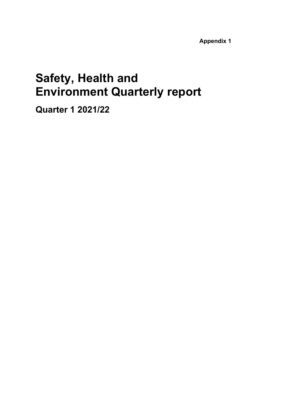**Appendix 1**

# **Safety, Health and Environment Quarterly report**

**Quarter 1 2021/22**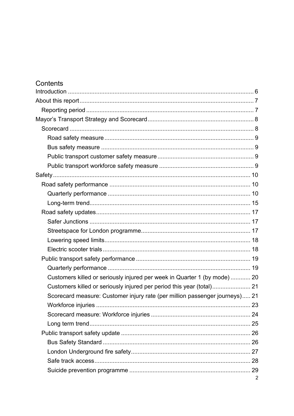| Contents                                                                    |   |
|-----------------------------------------------------------------------------|---|
|                                                                             |   |
|                                                                             |   |
|                                                                             |   |
|                                                                             |   |
|                                                                             |   |
|                                                                             |   |
|                                                                             |   |
|                                                                             |   |
|                                                                             |   |
|                                                                             |   |
|                                                                             |   |
|                                                                             |   |
|                                                                             |   |
|                                                                             |   |
|                                                                             |   |
|                                                                             |   |
|                                                                             |   |
|                                                                             |   |
|                                                                             |   |
|                                                                             |   |
| Customers killed or seriously injured per week in Quarter 1 (by mode)  20   |   |
|                                                                             |   |
| Scorecard measure: Customer injury rate (per million passenger journeys) 21 |   |
|                                                                             |   |
|                                                                             |   |
|                                                                             |   |
|                                                                             |   |
|                                                                             |   |
|                                                                             |   |
|                                                                             |   |
|                                                                             |   |
|                                                                             | 2 |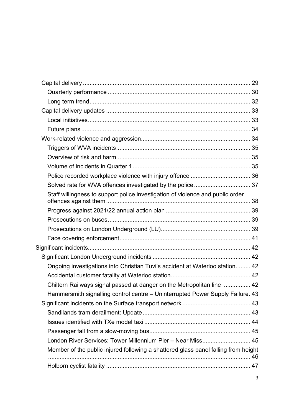| Staff willingness to support police investigation of violence and public order     |  |
|------------------------------------------------------------------------------------|--|
|                                                                                    |  |
|                                                                                    |  |
|                                                                                    |  |
|                                                                                    |  |
|                                                                                    |  |
|                                                                                    |  |
| Ongoing investigations into Christian Tuvi's accident at Waterloo station 42       |  |
|                                                                                    |  |
| Chiltern Railways signal passed at danger on the Metropolitan line  42             |  |
| Hammersmith signalling control centre - Uninterrupted Power Supply Failure. 43     |  |
|                                                                                    |  |
|                                                                                    |  |
|                                                                                    |  |
|                                                                                    |  |
| London River Services: Tower Millennium Pier - Near Miss 45                        |  |
| Member of the public injured following a shattered glass panel falling from height |  |
|                                                                                    |  |
|                                                                                    |  |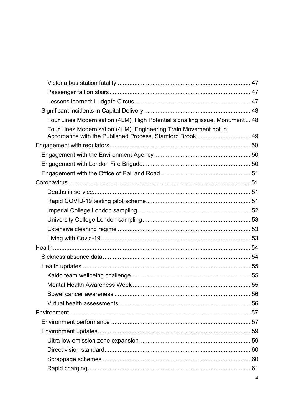| Four Lines Modernisation (4LM), High Potential signalling issue, Monument 48                                                   |   |
|--------------------------------------------------------------------------------------------------------------------------------|---|
| Four Lines Modernisation (4LM), Engineering Train Movement not in<br>Accordance with the Published Process, Stamford Brook  49 |   |
|                                                                                                                                |   |
|                                                                                                                                |   |
|                                                                                                                                |   |
|                                                                                                                                |   |
|                                                                                                                                |   |
|                                                                                                                                |   |
|                                                                                                                                |   |
|                                                                                                                                |   |
|                                                                                                                                |   |
|                                                                                                                                |   |
|                                                                                                                                |   |
|                                                                                                                                |   |
|                                                                                                                                |   |
|                                                                                                                                |   |
|                                                                                                                                |   |
|                                                                                                                                |   |
|                                                                                                                                |   |
|                                                                                                                                |   |
|                                                                                                                                |   |
|                                                                                                                                |   |
|                                                                                                                                |   |
|                                                                                                                                |   |
|                                                                                                                                |   |
|                                                                                                                                |   |
|                                                                                                                                |   |
|                                                                                                                                | 4 |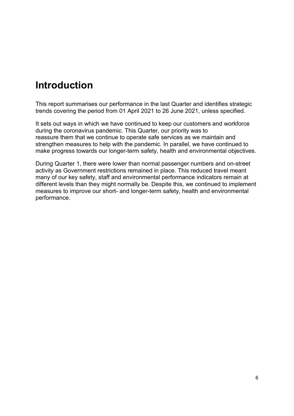# <span id="page-5-0"></span>**Introduction**

This report summarises our performance in the last Quarter and identifies strategic trends covering the period from 01 April 2021 to 26 June 2021, unless specified.

It sets out ways in which we have continued to keep our customers and workforce during the coronavirus pandemic. This Quarter, our priority was to reassure them that we continue to operate safe services as we maintain and strengthen measures to help with the pandemic. In parallel, we have continued to make progress towards our longer-term safety, health and environmental objectives.

During Quarter 1, there were lower than normal passenger numbers and on-street activity as Government restrictions remained in place. This reduced travel meant many of our key safety, staff and environmental performance indicators remain at different levels than they might normally be. Despite this, we continued to implement measures to improve our short- and longer-term safety, health and environmental performance.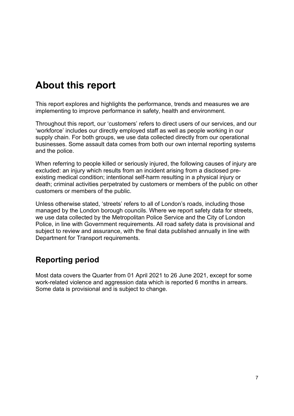# <span id="page-6-0"></span>**About this report**

This report explores and highlights the performance, trends and measures we are implementing to improve performance in safety, health and environment.

Throughout this report, our 'customers' refers to direct users of our services, and our 'workforce' includes our directly employed staff as well as people working in our supply chain. For both groups, we use data collected directly from our operational businesses. Some assault data comes from both our own internal reporting systems and the police.

When referring to people killed or seriously injured, the following causes of injury are excluded: an injury which results from an incident arising from a disclosed preexisting medical condition; intentional self-harm resulting in a physical injury or death; criminal activities perpetrated by customers or members of the public on other customers or members of the public.

Unless otherwise stated, 'streets' refers to all of London's roads, including those managed by the London borough councils. Where we report safety data for streets, we use data collected by the Metropolitan Police Service and the City of London Police, in line with Government requirements. All road safety data is provisional and subject to review and assurance, with the final data published annually in line with Department for Transport requirements.

# <span id="page-6-1"></span>**Reporting period**

Most data covers the Quarter from 01 April 2021 to 26 June 2021, except for some work-related violence and aggression data which is reported 6 months in arrears. Some data is provisional and is subject to change.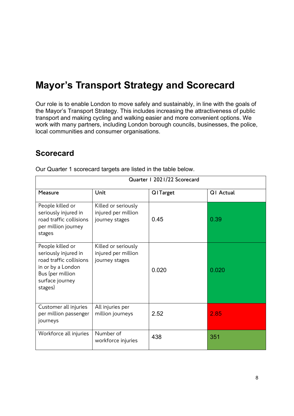# <span id="page-7-0"></span>**Mayor's Transport Strategy and Scorecard**

Our role is to enable London to move safely and sustainably, in line with the goals of the Mayor's Transport Strategy. This includes increasing the attractiveness of public transport and making cycling and walking easier and more convenient options. We work with many partners, including London borough councils, businesses, the police, local communities and consumer organisations.

# <span id="page-7-1"></span>**Scorecard**

| Quarter   2021/22 Scorecard                                                                                                                |                                                              |                  |           |
|--------------------------------------------------------------------------------------------------------------------------------------------|--------------------------------------------------------------|------------------|-----------|
| Measure                                                                                                                                    | Unit                                                         | <b>Q</b> ITarget | Q1 Actual |
| People killed or<br>seriously injured in<br>road traffic collisions<br>per million journey<br>stages                                       | Killed or seriously<br>injured per million<br>journey stages | 0.45             | 0.39      |
| People killed or<br>seriously injured in<br>road traffic collisions<br>in or by a London<br>Bus (per million<br>surface journey<br>stages) | Killed or seriously<br>injured per million<br>journey stages | 0.020            | 0.020     |
| Customer all injuries<br>per million passenger<br>journeys                                                                                 | All injuries per<br>million journeys                         | 2.52             | 2.85      |
| Workforce all injuries                                                                                                                     | Number of<br>workforce injuries                              | 438              | 351       |

Our Quarter 1 scorecard targets are listed in the table below.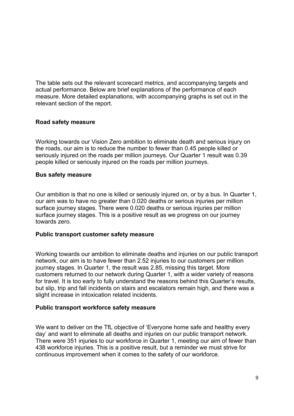The table sets out the relevant scorecard metrics, and accompanying targets and actual performance. Below are brief explanations of the performance of each measure. More detailed explanations, with accompanying graphs is set out in the relevant section of the report.

#### <span id="page-8-0"></span>**Road safety measure**

Working towards our Vision Zero ambition to eliminate death and serious injury on the roads, our aim is to reduce the number to fewer than 0.45 people killed or seriously injured on the roads per million journeys. Our Quarter 1 result was 0.39 people killed or seriously injured on the roads per million journeys.

#### <span id="page-8-1"></span>**Bus safety measure**

Our ambition is that no one is killed or seriously injured on, or by a bus. In Quarter 1, our aim was to have no greater than 0.020 deaths or serious injuries per million surface journey stages. There were 0.020 deaths or serious injuries per million surface journey stages. This is a positive result as we progress on our journey towards zero.

#### <span id="page-8-2"></span>**Public transport customer safety measure**

Working towards our ambition to eliminate deaths and injuries on our public transport network, our aim is to have fewer than 2.52 injuries to our customers per million journey stages. In Quarter 1, the result was 2.85, missing this target. More customers returned to our network during Quarter 1, with a wider variety of reasons for travel. It is too early to fully understand the reasons behind this Quarter's results, but slip, trip and fall incidents on stairs and escalators remain high, and there was a slight increase in intoxication related incidents.

#### <span id="page-8-3"></span>**Public transport workforce safety measure**

We want to deliver on the TfL objective of 'Everyone home safe and healthy every day' and want to eliminate all deaths and injuries on our public transport network. There were 351 injuries to our workforce in Quarter 1, meeting our aim of fewer than 438 workforce injuries. This is a positive result, but a reminder we must strive for continuous improvement when it comes to the safety of our workforce.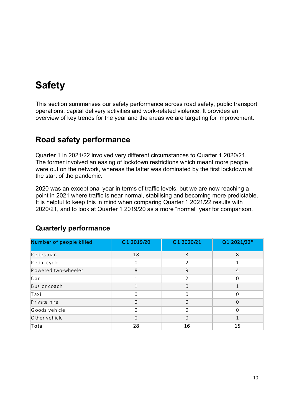# <span id="page-9-0"></span>**Safety**

This section summarises our safety performance across road safety, public transport operations, capital delivery activities and work-related violence. It provides an overview of key trends for the year and the areas we are targeting for improvement.

# <span id="page-9-1"></span>**Road safety performance**

Quarter 1 in 2021/22 involved very different circumstances to Quarter 1 2020/21. The former involved an easing of lockdown restrictions which meant more people were out on the network, whereas the latter was dominated by the first lockdown at the start of the pandemic.

2020 was an exceptional year in terms of traffic levels, but we are now reaching a point in 2021 where traffic is near normal, stabilising and becoming more predictable. It is helpful to keep this in mind when comparing Quarter 1 2021/22 results with 2020/21, and to look at Quarter 1 2019/20 as a more "normal" year for comparison.

| Number of people killed | Q1 2019/20 | Q1 2020/21     | Q1 2021/22*    |
|-------------------------|------------|----------------|----------------|
| Pedestrian              | 18         | 3              | 8              |
| Pedal cycle             | $\Omega$   | V              |                |
| Powered two-wheeler     | 8          | 9              | $\overline{4}$ |
| Car                     | 1          | $\overline{2}$ | $\Omega$       |
| Bus or coach            |            | 0              |                |
| Taxi                    | $\Omega$   | 0              | $\Omega$       |
| Private hire            | $\Omega$   | 0              | $\Omega$       |
| Goods vehicle           | $\Omega$   | $\Omega$       | $\Omega$       |
| O ther vehicle          | $\Omega$   | $\Omega$       |                |
| Total                   | 28         | 16             | 15             |

# <span id="page-9-2"></span>**Quarterly performance**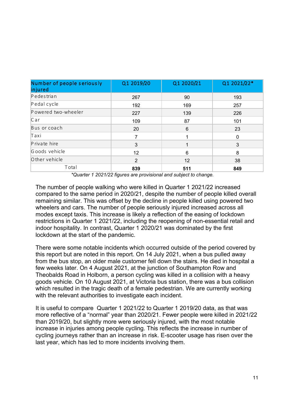| Number of people seriously<br>injured | Q1 2019/20        | Q1 2020/21 | Q1 2021/22* |
|---------------------------------------|-------------------|------------|-------------|
| Pedestrian                            | 267               | 90         | 193         |
| Pedal cycle                           | 192               | 169        | 257         |
| Powered two-wheeler                   | 227               | 139        | 226         |
| $C$ ar                                | 109               | 87         | 101         |
| Bus or coach                          | 20                | 6          | 23          |
| Taxi                                  |                   |            | $\Omega$    |
| Private hire                          | 3                 |            | 3           |
| Goods vehicle                         | $12 \overline{ }$ | 6          | 8           |
| O ther vehicle                        | 2                 | 12         | 38          |
| Total                                 | 839               | 511        | 849         |

*\*Quarter 1 2021/22 figures are provisional and subject to change.*

The number of people walking who were killed in Quarter 1 2021/22 increased compared to the same period in 2020/21, despite the number of people killed overall remaining similar. This was offset by the decline in people killed using powered two wheelers and cars. The number of people seriously injured increased across all modes except taxis. This increase is likely a reflection of the easing of lockdown restrictions in Quarter 1 2021/22, including the reopening of non-essential retail and indoor hospitality. In contrast, Quarter 1 2020/21 was dominated by the first lockdown at the start of the pandemic.

There were some notable incidents which occurred outside of the period covered by this report but are noted in this report. On 14 July 2021, when a bus pulled away from the bus stop, an older male customer fell down the stairs. He died in hospital a few weeks later. On 4 August 2021, at the junction of Southampton Row and Theobalds Road in Holborn, a person cycling was killed in a collision with a heavy goods vehicle. On 10 August 2021, at Victoria bus station, there was a bus collision which resulted in the tragic death of a female pedestrian. We are currently working with the relevant authorities to investigate each incident.

It is useful to compare Quarter 1 2021/22 to Quarter 1 2019/20 data, as that was more reflective of a "normal" year than 2020/21. Fewer people were killed in 2021/22 than 2019/20, but slightly more were seriously injured, with the most notable increase in injuries among people cycling. This reflects the increase in number of cycling journeys rather than an increase in risk. E-scooter usage has risen over the last year, which has led to more incidents involving them.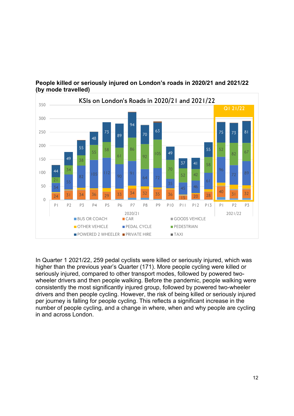

# **People killed or seriously injured on London's roads in 2020/21 and 2021/22 (by mode travelled)**

In Quarter 1 2021/22, 259 pedal cyclists were killed or seriously injured, which was higher than the previous year's Quarter (171). More people cycling were killed or seriously injured, compared to other transport modes, followed by powered twowheeler drivers and then people walking. Before the pandemic, people walking were consistently the most significantly injured group, followed by powered two-wheeler drivers and then people cycling. However, the risk of being killed or seriously injured per journey is falling for people cycling. This reflects a significant increase in the number of people cycling, and a change in where, when and why people are cycling in and across London.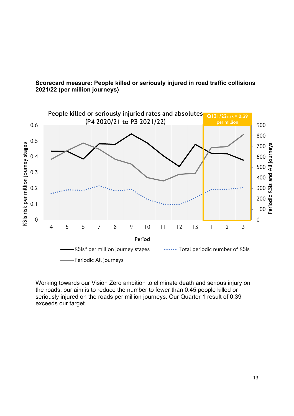

# **Scorecard measure: People killed or seriously injured in road traffic collisions 2021/22 (per million journeys)**

Working towards our Vision Zero ambition to eliminate death and serious injury on the roads, our aim is to reduce the number to fewer than 0.45 people killed or seriously injured on the roads per million journeys. Our Quarter 1 result of 0.39 exceeds our target.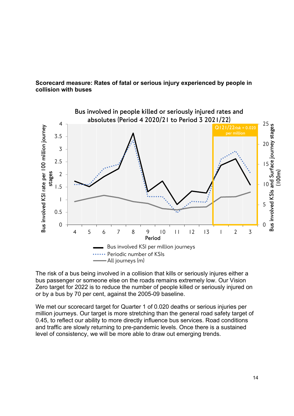## **Scorecard measure: Rates of fatal or serious injury experienced by people in collision with buses**



The risk of a bus being involved in a collision that kills or seriously injures either a bus passenger or someone else on the roads remains extremely low. Our Vision Zero target for 2022 is to reduce the number of people killed or seriously injured on or by a bus by 70 per cent, against the 2005-09 baseline.

We met our scorecard target for Quarter 1 of 0.020 deaths or serious injuries per million journeys. Our target is more stretching than the general road safety target of 0.45, to reflect our ability to more directly influence bus services. Road conditions and traffic are slowly returning to pre-pandemic levels. Once there is a sustained level of consistency, we will be more able to draw out emerging trends.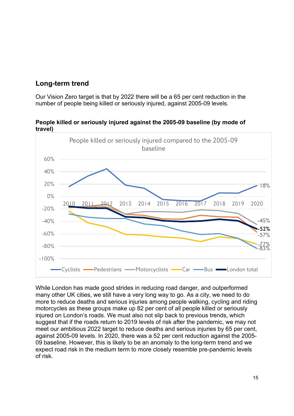# <span id="page-14-0"></span>**Long-term trend**

Our Vision Zero target is that by 2022 there will be a 65 per cent reduction in the number of people being killed or seriously injured, against 2005-09 levels.

#### **People killed or seriously injured against the 2005-09 baseline (by mode of travel)**



While London has made good strides in reducing road danger, and outperformed many other UK cities, we still have a very long way to go. As a city, we need to do more to reduce deaths and serious injuries among people walking, cycling and riding motorcycles as these groups make up 82 per cent of all people killed or seriously injured on London's roads. We must also not slip back to previous trends, which suggest that if the roads return to 2019 levels of risk after the pandemic, we may not meet our ambitious 2022 target to reduce deaths and serious injuries by 65 per cent, against 2005-09 levels. In 2020, there was a 52 per cent reduction against the 2005- 09 baseline. However, this is likely to be an anomaly to the long-term trend and we expect road risk in the medium term to more closely resemble pre-pandemic levels of risk.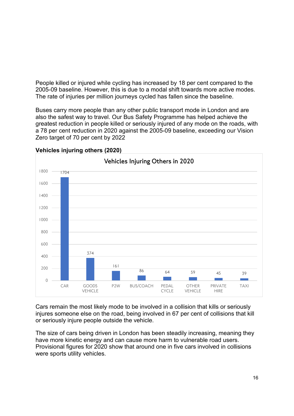People killed or injured while cycling has increased by 18 per cent compared to the 2005-09 baseline. However, this is due to a modal shift towards more active modes. The rate of injuries per million journeys cycled has fallen since the baseline.

Buses carry more people than any other public transport mode in London and are also the safest way to travel. Our Bus Safety Programme has helped achieve the greatest reduction in people killed or seriously injured of any mode on the roads, with a 78 per cent reduction in 2020 against the 2005-09 baseline, exceeding our Vision Zero target of 70 per cent by 2022



**Vehicles injuring others (2020)**

Cars remain the most likely mode to be involved in a collision that kills or seriously injures someone else on the road, being involved in 67 per cent of collisions that kill or seriously injure people outside the vehicle.

The size of cars being driven in London has been steadily increasing, meaning they have more kinetic energy and can cause more harm to vulnerable road users. Provisional figures for 2020 show that around one in five cars involved in collisions were sports utility vehicles.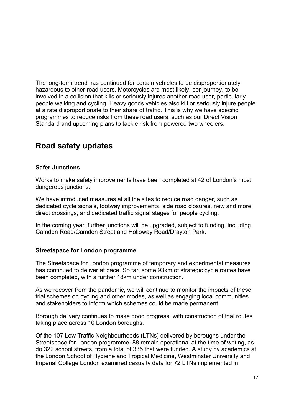The long-term trend has continued for certain vehicles to be disproportionately hazardous to other road users. Motorcycles are most likely, per journey, to be involved in a collision that kills or seriously injures another road user, particularly people walking and cycling. Heavy goods vehicles also kill or seriously injure people at a rate disproportionate to their share of traffic. This is why we have specific programmes to reduce risks from these road users, such as our Direct Vision Standard and upcoming plans to tackle risk from powered two wheelers.

# <span id="page-16-0"></span>**Road safety updates**

## <span id="page-16-1"></span>**Safer Junctions**

Works to make safety improvements have been completed at 42 of London's most dangerous junctions.

We have introduced measures at all the sites to reduce road danger, such as dedicated cycle signals, footway improvements, side road closures, new and more direct crossings, and dedicated traffic signal stages for people cycling.

In the coming year, further junctions will be upgraded, subject to funding, including Camden Road/Camden Street and Holloway Road/Drayton Park.

#### <span id="page-16-2"></span>**Streetspace for London programme**

The Streetspace for London programme of temporary and experimental measures has continued to deliver at pace. So far, some 93km of strategic cycle routes have been completed, with a further 18km under construction.

As we recover from the pandemic, we will continue to monitor the impacts of these trial schemes on cycling and other modes, as well as engaging local communities and stakeholders to inform which schemes could be made permanent.

Borough delivery continues to make good progress, with construction of trial routes taking place across 10 London boroughs.

Of the 107 Low Traffic Neighbourhoods (LTNs) delivered by boroughs under the Streetspace for London programme, 88 remain operational at the time of writing, as do 322 school streets, from a total of 335 that were funded. A study by academics at the London School of Hygiene and Tropical Medicine, Westminster University and Imperial College London examined casualty data for 72 LTNs implemented in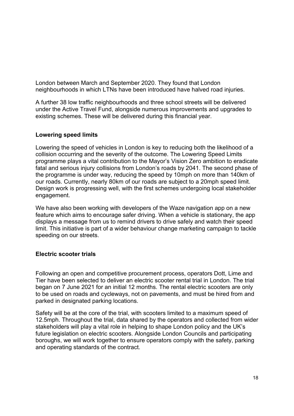London between March and September 2020. They found that London neighbourhoods in which LTNs have been introduced have halved road injuries.

A further 38 low traffic neighbourhoods and three school streets will be delivered under the Active Travel Fund, alongside numerous improvements and upgrades to existing schemes. These will be delivered during this financial year.

#### <span id="page-17-0"></span>**Lowering speed limits**

Lowering the speed of vehicles in London is key to reducing both the likelihood of a collision occurring and the severity of the outcome. The Lowering Speed Limits programme plays a vital contribution to the Mayor's Vision Zero ambition to eradicate fatal and serious injury collisions from London's roads by 2041. The second phase of the programme is under way, reducing the speed by 10mph on more than 140km of our roads. Currently, nearly 80km of our roads are subject to a 20mph speed limit. Design work is progressing well, with the first schemes undergoing local stakeholder engagement.

We have also been working with developers of the Waze navigation app on a new feature which aims to encourage safer driving. When a vehicle is stationary, the app displays a message from us to remind drivers to drive safely and watch their speed limit. This initiative is part of a wider behaviour change marketing campaign to tackle speeding on our streets.

## <span id="page-17-1"></span>**Electric scooter trials**

Following an open and competitive procurement process, operators Dott, Lime and Tier have been selected to deliver an electric scooter rental trial in London. The trial began on 7 June 2021 for an initial 12 months. The rental electric scooters are only to be used on roads and cycleways, not on pavements, and must be hired from and parked in designated parking locations.

Safety will be at the core of the trial, with scooters limited to a maximum speed of 12.5mph. Throughout the trial, data shared by the operators and collected from wider stakeholders will play a vital role in helping to shape London policy and the UK's future legislation on electric scooters. Alongside London Councils and participating boroughs, we will work together to ensure operators comply with the safety, parking and operating standards of the contract.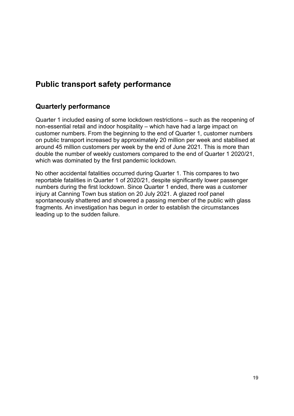# <span id="page-18-0"></span>**Public transport safety performance**

# <span id="page-18-1"></span>**Quarterly performance**

Quarter 1 included easing of some lockdown restrictions – such as the reopening of non-essential retail and indoor hospitality – which have had a large impact on customer numbers. From the beginning to the end of Quarter 1, customer numbers on public transport increased by approximately 20 million per week and stabilised at around 45 million customers per week by the end of June 2021. This is more than double the number of weekly customers compared to the end of Quarter 1 2020/21, which was dominated by the first pandemic lockdown.

No other accidental fatalities occurred during Quarter 1. This compares to two reportable fatalities in Quarter 1 of 2020/21, despite significantly lower passenger numbers during the first lockdown. Since Quarter 1 ended, there was a customer injury at Canning Town bus station on 20 July 2021. A glazed roof panel spontaneously shattered and showered a passing member of the public with glass fragments. An investigation has begun in order to establish the circumstances leading up to the sudden failure.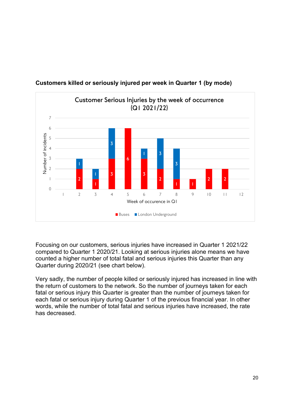

# <span id="page-19-0"></span>**Customers killed or seriously injured per week in Quarter 1 (by mode)**

Focusing on our customers, serious injuries have increased in Quarter 1 2021/22 compared to Quarter 1 2020/21. Looking at serious injuries alone means we have counted a higher number of total fatal and serious injuries this Quarter than any Quarter during 2020/21 (see chart below).

Very sadly, the number of people killed or seriously injured has increased in line with the return of customers to the network. So the number of journeys taken for each fatal or serious injury this Quarter is greater than the number of journeys taken for each fatal or serious injury during Quarter 1 of the previous financial year. In other words, while the number of total fatal and serious injuries have increased, the rate has decreased.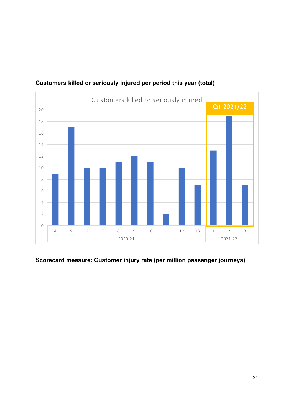

# <span id="page-20-0"></span>**Customers killed or seriously injured per period this year (total)**

# <span id="page-20-1"></span>**Scorecard measure: Customer injury rate (per million passenger journeys)**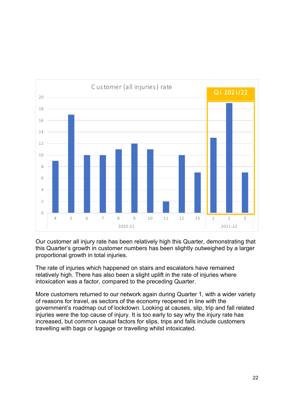

Our customer all injury rate has been relatively high this Quarter, demonstrating that this Quarter's growth in customer numbers has been slightly outweighed by a larger proportional growth in total injuries.

The rate of injuries which happened on stairs and escalators have remained relatively high. There has also been a slight uplift in the rate of injuries where intoxication was a factor, compared to the preceding Quarter.

More customers returned to our network again during Quarter 1, with a wider variety of reasons for travel, as sectors of the economy reopened in line with the government's roadmap out of lockdown. Looking at causes, slip, trip and fall related injuries were the top cause of injury. It is too early to say why the injury rate has increased, but common causal factors for slips, trips and falls include customers travelling with bags or luggage or travelling whilst intoxicated.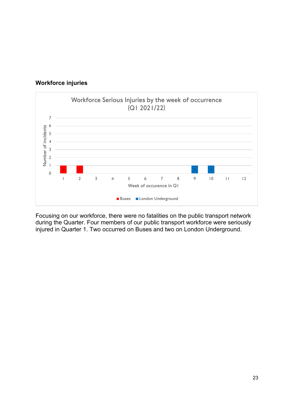

#### <span id="page-22-0"></span>**Workforce injuries**

Focusing on our workforce, there were no fatalities on the public transport network during the Quarter. Four members of our public transport workforce were seriously injured in Quarter 1. Two occurred on Buses and two on London Underground.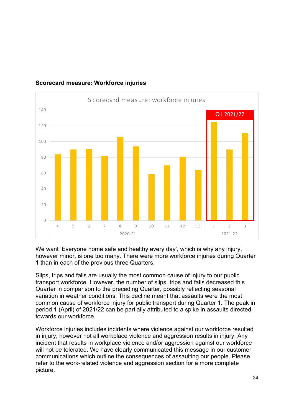

# <span id="page-23-0"></span>**Scorecard measure: Workforce injuries**

We want 'Everyone home safe and healthy every day', which is why any injury, however minor, is one too many. There were more workforce injuries during Quarter 1 than in each of the previous three Quarters.

Slips, trips and falls are usually the most common cause of injury to our public transport workforce. However, the number of slips, trips and falls decreased this Quarter in comparison to the preceding Quarter, possibly reflecting seasonal variation in weather conditions. This decline meant that assaults were the most common cause of workforce injury for public transport during Quarter 1. The peak in period 1 (April) of 2021/22 can be partially attributed to a spike in assaults directed towards our workforce.

Workforce injuries includes incidents where violence against our workforce resulted in injury; however not all workplace violence and aggression results in injury. Any incident that results in workplace violence and/or aggression against our workforce will not be tolerated. We have clearly communicated this message in our customer communications which outline the consequences of assaulting our people. Please refer to the work-related violence and aggression section for a more complete picture.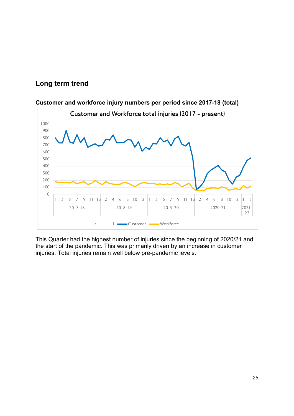# <span id="page-24-0"></span>**Long term trend**



## **Customer and workforce injury numbers per period since 2017-18 (total)**

This Quarter had the highest number of injuries since the beginning of 2020/21 and the start of the pandemic. This was primarily driven by an increase in customer injuries. Total injuries remain well below pre-pandemic levels.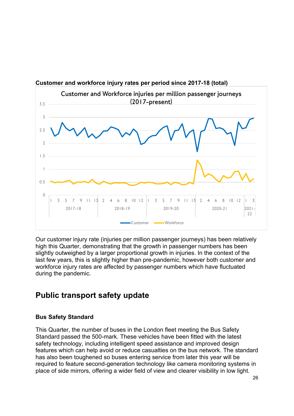

**Customer and workforce injury rates per period since 2017-18 (total)**

Our customer injury rate (injuries per million passenger journeys) has been relatively high this Quarter, demonstrating that the growth in passenger numbers has been slightly outweighed by a larger proportional growth in injuries. In the context of the last few years, this is slightly higher than pre-pandemic, however both customer and workforce injury rates are affected by passenger numbers which have fluctuated during the pandemic.

# <span id="page-25-0"></span>**Public transport safety update**

## <span id="page-25-1"></span>**Bus Safety Standard**

This Quarter, the number of buses in the London fleet meeting the Bus Safety Standard passed the 500-mark. These vehicles have been fitted with the latest safety technology, including intelligent speed assistance and improved design features which can help avoid or reduce casualties on the bus network. The standard has also been toughened so buses entering service from later this year will be required to feature second-generation technology like camera monitoring systems in place of side mirrors, offering a wider field of view and clearer visibility in low light.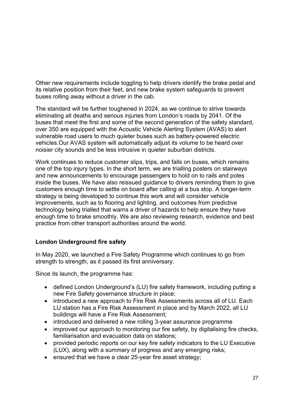Other new requirements include toggling to help drivers identify the brake pedal and its relative position from their feet, and new brake system safeguards to prevent buses rolling away without a driver in the cab.

The standard will be further toughened in 2024, as we continue to strive towards eliminating all deaths and serious injuries from London's roads by 2041. Of the buses that meet the first and some of the second generation of the safety standard, over 350 are equipped with the Acoustic Vehicle Alerting System (AVAS) to alert vulnerable road users to much quieter buses such as battery-powered electric vehicles.Our AVAS system will automatically adjust its volume to be heard over noisier city sounds and be less intrusive in quieter suburban districts.

Work continues to reduce customer slips, trips, and falls on buses, which remains one of the top injury types. In the short term, we are trialling posters on stairways and new announcements to encourage passengers to hold on to rails and poles inside the buses. We have also reissued guidance to drivers reminding them to give customers enough time to settle on board after calling at a bus stop. A longer-term strategy is being developed to continue this work and will consider vehicle improvements, such as to flooring and lighting, and outcomes from predictive technology being trialled that warns a driver of hazards to help ensure they have enough time to brake smoothly. We are also reviewing research, evidence and best practice from other transport authorities around the world.

# <span id="page-26-0"></span>**London Underground fire safety**

In May 2020, we launched a Fire Safety Programme which continues to go from strength to strength, as it passed its first anniversary.

Since its launch, the programme has:

- defined London Underground's (LU) fire safety framework, including putting a new Fire Safety governance structure in place;
- introduced a new approach to Fire Risk Assessments across all of LU. Each LU station has a Fire Risk Assessment in place and by March 2022, all LU buildings will have a Fire Risk Assessment;
- introduced and delivered a new rolling 3-year assurance programme
- improved our approach to monitoring our fire safety, by digitalising fire checks, familiarisation and evacuation data on stations;
- provided periodic reports on our key fire safety indicators to the LU Executive (LUX), along with a summary of progress and any emerging risks;
- ensured that we have a clear 25-year fire asset strategy;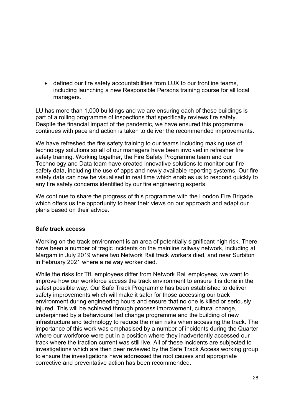• defined our fire safety accountabilities from LUX to our frontline teams, including launching a new Responsible Persons training course for all local managers.

LU has more than 1,000 buildings and we are ensuring each of these buildings is part of a rolling programme of inspections that specifically reviews fire safety. Despite the financial impact of the pandemic, we have ensured this programme continues with pace and action is taken to deliver the recommended improvements.

We have refreshed the fire safety training to our teams including making use of technology solutions so all of our managers have been involved in refresher fire safety training. Working together, the Fire Safety Programme team and our Technology and Data team have created innovative solutions to monitor our fire safety data, including the use of apps and newly available reporting systems. Our fire safety data can now be visualised in real time which enables us to respond quickly to any fire safety concerns identified by our fire engineering experts.

We continue to share the progress of this programme with the London Fire Brigade which offers us the opportunity to hear their views on our approach and adapt our plans based on their advice.

#### <span id="page-27-0"></span>**Safe track access**

Working on the track environment is an area of potentially significant high risk. There have been a number of tragic incidents on the mainline railway network, including at Margam in July 2019 where two Network Rail track workers died, and near Surbiton in February 2021 where a railway worker died.

While the risks for TfL employees differ from Network Rail employees, we want to improve how our workforce access the track environment to ensure it is done in the safest possible way. Our Safe Track Programme has been established to deliver safety improvements which will make it safer for those accessing our track environment during engineering hours and ensure that no one is killed or seriously injured. This will be achieved through process improvement, cultural change, underpinned by a behavioural led change programme and the building of new infrastructure and technology to reduce the main risks when accessing the track. The importance of this work was emphasised by a number of incidents during the Quarter where our workforce were put in a position where they inadvertently accessed our track where the traction current was still live. All of these incidents are subjected to investigations which are then peer reviewed by the Safe Track Access working group to ensure the investigations have addressed the root causes and appropriate corrective and preventative action has been recommended.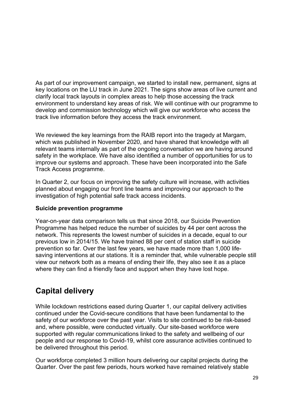As part of our improvement campaign, we started to install new, permanent, signs at key locations on the LU track in June 2021. The signs show areas of live current and clarify local track layouts in complex areas to help those accessing the track environment to understand key areas of risk. We will continue with our programme to develop and commission technology which will give our workforce who access the track live information before they access the track environment.

We reviewed the key learnings from the RAIB report into the tragedy at Margam, which was published in November 2020, and have shared that knowledge with all relevant teams internally as part of the ongoing conversation we are having around safety in the workplace. We have also identified a number of opportunities for us to improve our systems and approach. These have been incorporated into the Safe Track Access programme.

In Quarter 2, our focus on improving the safety culture will increase, with activities planned about engaging our front line teams and improving our approach to the investigation of high potential safe track access incidents.

## <span id="page-28-0"></span>**Suicide prevention programme**

Year-on-year data comparison tells us that since 2018, our Suicide Prevention Programme has helped reduce the number of suicides by 44 per cent across the network. This represents the lowest number of suicides in a decade, equal to our previous low in 2014/15. We have trained 88 per cent of station staff in suicide prevention so far. Over the last few years, we have made more than 1,000 lifesaving interventions at our stations. It is a reminder that, while vulnerable people still view our network both as a means of ending their life, they also see it as a place where they can find a friendly face and support when they have lost hope.

# <span id="page-28-1"></span>**Capital delivery**

While lockdown restrictions eased during Quarter 1, our capital delivery activities continued under the Covid-secure conditions that have been fundamental to the safety of our workforce over the past year. Visits to site continued to be risk-based and, where possible, were conducted virtually. Our site-based workforce were supported with regular communications linked to the safety and wellbeing of our people and our response to Covid-19, whilst core assurance activities continued to be delivered throughout this period.

Our workforce completed 3 million hours delivering our capital projects during the Quarter. Over the past few periods, hours worked have remained relatively stable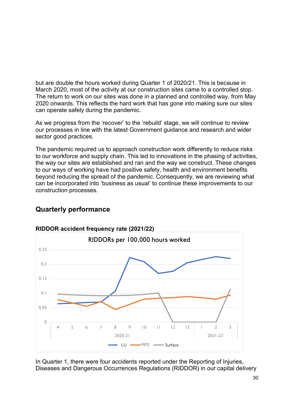but are double the hours worked during Quarter 1 of 2020/21. This is because in March 2020, most of the activity at our construction sites came to a controlled stop. The return to work on our sites was done in a planned and controlled way, from May 2020 onwards. This reflects the hard work that has gone into making sure our sites can operate safely during the pandemic.

As we progress from the 'recover' to the 'rebuild' stage, we will continue to review our processes in line with the latest Government guidance and research and wider sector good practices.

The pandemic required us to approach construction work differently to reduce risks to our workforce and supply chain. This led to innovations in the phasing of activities, the way our sites are established and ran and the way we construct. These changes to our ways of working have had positive safety, health and environment benefits beyond reducing the spread of the pandemic. Consequently, we are reviewing what can be incorporated into 'business as usual' to continue these improvements to our construction processes.



# <span id="page-29-0"></span>**Quarterly performance**

**RIDDOR accident frequency rate (2021/22)**

In Quarter 1, there were four accidents reported under the Reporting of Injuries, Diseases and Dangerous Occurrences Regulations (RIDDOR) in our capital delivery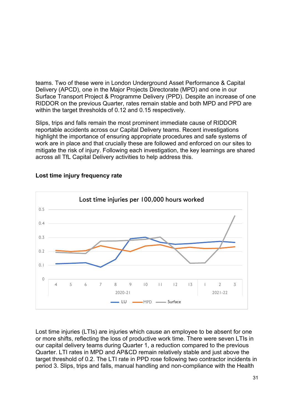teams. Two of these were in London Underground Asset Performance & Capital Delivery (APCD), one in the Major Projects Directorate (MPD) and one in our Surface Transport Project & Programme Delivery (PPD). Despite an increase of one RIDDOR on the previous Quarter, rates remain stable and both MPD and PPD are within the target thresholds of 0.12 and 0.15 respectively.

Slips, trips and falls remain the most prominent immediate cause of RIDDOR reportable accidents across our Capital Delivery teams. Recent investigations highlight the importance of ensuring appropriate procedures and safe systems of work are in place and that crucially these are followed and enforced on our sites to mitigate the risk of injury. Following each investigation, the key learnings are shared across all TfL Capital Delivery activities to help address this.



# **Lost time injury frequency rate**

Lost time injuries (LTIs) are injuries which cause an employee to be absent for one or more shifts, reflecting the loss of productive work time. There were seven LTIs in our capital delivery teams during Quarter 1, a reduction compared to the previous Quarter. LTI rates in MPD and AP&CD remain relatively stable and just above the target threshold of 0.2. The LTI rate in PPD rose following two contractor incidents in period 3. Slips, trips and falls, manual handling and non-compliance with the Health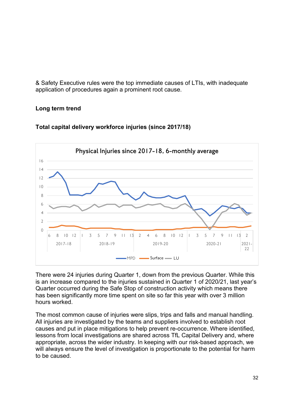& Safety Executive rules were the top immediate causes of LTIs, with inadequate application of procedures again a prominent root cause.

# <span id="page-31-0"></span>**Long term trend**



#### **Total capital delivery workforce injuries (since 2017/18)**

There were 24 injuries during Quarter 1, down from the previous Quarter. While this is an increase compared to the injuries sustained in Quarter 1 of 2020/21, last year's Quarter occurred during the Safe Stop of construction activity which means there has been significantly more time spent on site so far this year with over 3 million hours worked.

The most common cause of injuries were slips, trips and falls and manual handling. All injuries are investigated by the teams and suppliers involved to establish root causes and put in place mitigations to help prevent re-occurrence. Where identified, lessons from local investigations are shared across TfL Capital Delivery and, where appropriate, across the wider industry. In keeping with our risk-based approach, we will always ensure the level of investigation is proportionate to the potential for harm to be caused.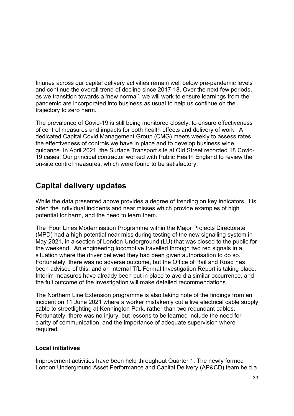Injuries across our capital delivery activities remain well below pre-pandemic levels and continue the overall trend of decline since 2017-18. Over the next few periods, as we transition towards a 'new normal', we will work to ensure learnings from the pandemic are incorporated into business as usual to help us continue on the trajectory to zero harm.

The prevalence of Covid-19 is still being monitored closely, to ensure effectiveness of control measures and impacts for both health effects and delivery of work. A dedicated Capital Covid Management Group (CMG) meets weekly to assess rates, the effectiveness of controls we have in place and to develop business wide guidance. In April 2021, the Surface Transport site at Old Street recorded 18 Covid-19 cases. Our principal contractor worked with Public Health England to review the on-site control measures, which were found to be satisfactory.

# <span id="page-32-0"></span>**Capital delivery updates**

While the data presented above provides a degree of trending on key indicators, it is often the individual incidents and near misses which provide examples of high potential for harm, and the need to learn them.

The Four Lines Modernisation Programme within the Major Projects Directorate (MPD) had a high potential near miss during testing of the new signalling system in May 2021, in a section of London Underground (LU) that was closed to the public for the weekend. An engineering locomotive travelled through two red signals in a situation where the driver believed they had been given authorisation to do so. Fortunately, there was no adverse outcome, but the Office of Rail and Road has been advised of this, and an internal TfL Formal Investigation Report is taking place. Interim measures have already been put in place to avoid a similar occurrence, and the full outcome of the investigation will make detailed recommendations.

The Northern Line Extension programme is also taking note of the findings from an incident on 11 June 2021 where a worker mistakenly cut a live electrical cable supply cable to streetlighting at Kennington Park, rather than two redundant cables. Fortunately, there was no injury, but lessons to be learned include the need for clarity of communication, and the importance of adequate supervision where required.

## <span id="page-32-1"></span>**Local initiatives**

Improvement activities have been held throughout Quarter 1. The newly formed London Underground Asset Performance and Capital Delivery (AP&CD) team held a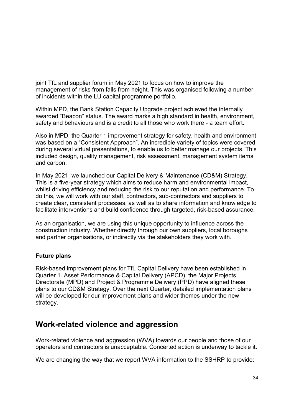joint TfL and supplier forum in May 2021 to focus on how to improve the management of risks from falls from height. This was organised following a number of incidents within the LU capital programme portfolio.

Within MPD, the Bank Station Capacity Upgrade project achieved the internally awarded "Beacon" status. The award marks a high standard in health, environment, safety and behaviours and is a credit to all those who work there - a team effort.

Also in MPD, the Quarter 1 improvement strategy for safety, health and environment was based on a "Consistent Approach". An incredible variety of topics were covered during several virtual presentations, to enable us to better manage our projects. This included design, quality management, risk assessment, management system items and carbon.

In May 2021, we launched our Capital Delivery & Maintenance (CD&M) Strategy. This is a five-year strategy which aims to reduce harm and environmental impact, whilst driving efficiency and reducing the risk to our reputation and performance. To do this, we will work with our staff, contractors, sub-contractors and suppliers to create clear, consistent processes, as well as to share information and knowledge to facilitate interventions and build confidence through targeted, risk-based assurance.

As an organisation, we are using this unique opportunity to influence across the construction industry. Whether directly through our own suppliers, local boroughs and partner organisations, or indirectly via the stakeholders they work with.

## <span id="page-33-0"></span>**Future plans**

Risk-based improvement plans for TfL Capital Delivery have been established in Quarter 1. Asset Performance & Capital Delivery (APCD), the Major Projects Directorate (MPD) and Project & Programme Delivery (PPD) have aligned these plans to our CD&M Strategy. Over the next Quarter, detailed implementation plans will be developed for our improvement plans and wider themes under the new strategy.

# <span id="page-33-1"></span>**Work-related violence and aggression**

Work-related violence and aggression (WVA) towards our people and those of our operators and contractors is unacceptable. Concerted action is underway to tackle it.

We are changing the way that we report WVA information to the SSHRP to provide: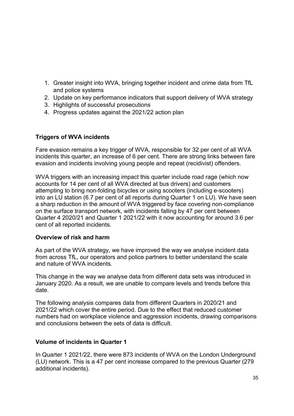- 1. Greater insight into WVA, bringing together incident and crime data from TfL and police systems
- 2. Update on key performance indicators that support delivery of WVA strategy
- 3. Highlights of successful prosecutions
- 4. Progress updates against the 2021/22 action plan

#### <span id="page-34-0"></span>**Triggers of WVA incidents**

Fare evasion remains a key trigger of WVA, responsible for 32 per cent of all WVA incidents this quarter, an increase of 6 per cent. There are strong links between fare evasion and incidents involving young people and repeat (recidivist) offenders.

WVA triggers with an increasing impact this quarter include road rage (which now accounts for 14 per cent of all WVA directed at bus drivers) and customers attempting to bring non-folding bicycles or using scooters (including e-scooters) into an LU station (6.7 per cent of all reports during Quarter 1 on LU). We have seen a sharp reduction in the amount of WVA triggered by face covering non-compliance on the surface transport network, with incidents falling by 47 per cent between Quarter 4 2020/21 and Quarter 1 2021/22 with it now accounting for around 3.6 per cent of all reported incidents.

#### <span id="page-34-1"></span>**Overview of risk and harm**

As part of the WVA strategy, we have improved the way we analyse incident data from across TfL, our operators and police partners to better understand the scale and nature of WVA incidents.

This change in the way we analyse data from different data sets was introduced in January 2020. As a result, we are unable to compare levels and trends before this date.

The following analysis compares data from different Quarters in 2020/21 and 2021/22 which cover the entire period. Due to the effect that reduced customer numbers had on workplace violence and aggression incidents, drawing comparisons and conclusions between the sets of data is difficult.

#### <span id="page-34-2"></span>**Volume of incidents in Quarter 1**

In Quarter 1 2021/22, there were 873 incidents of WVA on the London Underground (LU) network. This is a 47 per cent increase compared to the previous Quarter (279 additional incidents).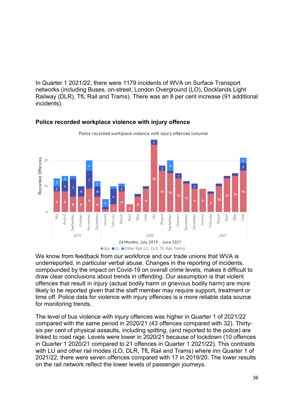In Quarter 1 2021/22, there were 1179 incidents of WVA on Surface Transport networks (including Buses, on-street, London Overground (LO), Docklands Light Railway (DLR), TfL Rail and Trams). There was an 8 per cent increase (91 additional incidents).



#### <span id="page-35-0"></span>**Police recorded workplace violence with injury offence**

We know from feedback from our workforce and our trade unions that WVA is underreported, in particular verbal abuse. Changes in the reporting of incidents, compounded by the impact on Covid-19 on overall crime levels, makes it difficult to draw clear conclusions about trends in offending. Our assumption is that violent offences that result in injury (actual bodily harm or grievous bodily harm) are more likely to be reported given that the staff member may require support, treatment or time off. Police data for violence with injury offences is a more reliable data source for monitoring trends.

The level of bus violence with injury offences was higher in Quarter 1 of 2021/22 compared with the same period in 2020/21 (43 offences compared with 32). Thirtysix per cent of physical assaults, including spitting, (and reported to the police) are linked to road rage. Levels were lower in 2020/21 because of lockdown (10 offences in Quarter 1 2020/21 compared to 21 offences in Quarter 1 2021/22). This contrasts with LU and other rail modes (LO, DLR, TfL Rail and Trams) where inn Quarter 1 of 2021/22, there were seven offences compared with 17 in 2019/20. The lower results on the rail network reflect the lower levels of passenger journeys.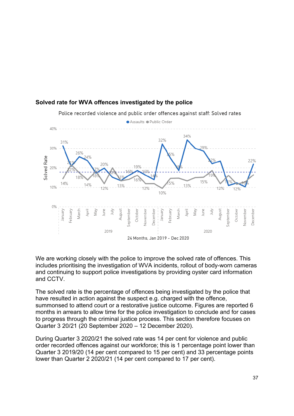

#### <span id="page-36-0"></span>**Solved rate for WVA offences investigated by the police**

Police recorded violence and public order offences against staff: Solved rates

We are working closely with the police to improve the solved rate of offences. This includes prioritising the investigation of WVA incidents, rollout of body-worn cameras and continuing to support police investigations by providing oyster card information and CCTV.

The solved rate is the percentage of offences being investigated by the police that have resulted in action against the suspect e.g. charged with the offence, summonsed to attend court or a restorative justice outcome. Figures are reported 6 months in arrears to allow time for the police investigation to conclude and for cases to progress through the criminal justice process. This section therefore focuses on Quarter 3 20/21 (20 September 2020 – 12 December 2020).

During Quarter 3 2020/21 the solved rate was 14 per cent for violence and public order recorded offences against our workforce; this is 1 percentage point lower than Quarter 3 2019/20 (14 per cent compared to 15 per cent) and 33 percentage points lower than Quarter 2 2020/21 (14 per cent compared to 17 per cent).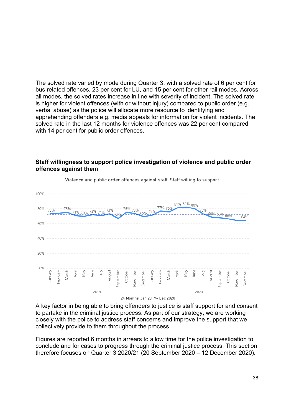The solved rate varied by mode during Quarter 3, with a solved rate of 6 per cent for bus related offences, 23 per cent for LU, and 15 per cent for other rail modes. Across all modes, the solved rates increase in line with severity of incident. The solved rate is higher for violent offences (with or without injury) compared to public order (e.g. verbal abuse) as the police will allocate more resource to identifying and apprehending offenders e.g. media appeals for information for violent incidents. The solved rate in the last 12 months for violence offences was 22 per cent compared with 14 per cent for public order offences.

#### 100% 81% 82% 80% 72% 59% 68% 66% 60% 40% 20% 0% January October **De** cember ebruary October eptember eptember Jovembe lovembe Jecembe 2019 2020

Violence and public order offences against staff: Staff willing to support

**offences against them** 

<span id="page-37-0"></span>**Staff willingness to support police investigation of violence and public order** 

24 Months, Jan 2019- Dec 2020

A key factor in being able to bring offenders to justice is staff support for and consent to partake in the criminal justice process. As part of our strategy, we are working closely with the police to address staff concerns and improve the support that we collectively provide to them throughout the process.

Figures are reported 6 months in arrears to allow time for the police investigation to conclude and for cases to progress through the criminal justice process. This section therefore focuses on Quarter 3 2020/21 (20 September 2020 – 12 December 2020).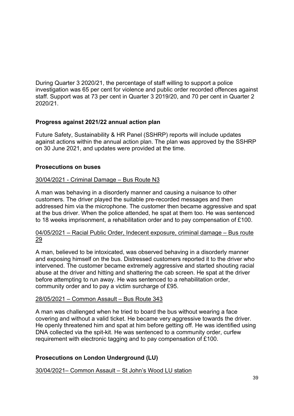During Quarter 3 2020/21, the percentage of staff willing to support a police investigation was 65 per cent for violence and public order recorded offences against staff. Support was at 73 per cent in Quarter 3 2019/20, and 70 per cent in Quarter 2 2020/21.

#### <span id="page-38-0"></span>**Progress against 2021/22 annual action plan**

Future Safety, Sustainability & HR Panel (SSHRP) reports will include updates against actions within the annual action plan. The plan was approved by the SSHRP on 30 June 2021, and updates were provided at the time.

#### <span id="page-38-1"></span>**Prosecutions on buses**

#### 30/04/2021 - Criminal Damage – Bus Route N3

A man was behaving in a disorderly manner and causing a nuisance to other customers. The driver played the suitable pre-recorded messages and then addressed him via the microphone. The customer then became aggressive and spat at the bus driver. When the police attended, he spat at them too. He was sentenced to 18 weeks imprisonment, a rehabilitation order and to pay compensation of £100.

#### 04/05/2021 – Racial Public Order, Indecent exposure, criminal damage – Bus route 29

A man, believed to be intoxicated, was observed behaving in a disorderly manner and exposing himself on the bus. Distressed customers reported it to the driver who intervened. The customer became extremely aggressive and started shouting racial abuse at the driver and hitting and shattering the cab screen. He spat at the driver before attempting to run away. He was sentenced to a rehabilitation order, community order and to pay a victim surcharge of £95.

#### 28/05/2021 – Common Assault – Bus Route 343

A man was challenged when he tried to board the bus without wearing a face covering and without a valid ticket. He became very aggressive towards the driver. He openly threatened him and spat at him before getting off. He was identified using DNA collected via the spit-kit. He was sentenced to a community order, curfew requirement with electronic tagging and to pay compensation of £100.

## <span id="page-38-2"></span>**Prosecutions on London Underground (LU)**

30/04/2021– Common Assault – St John's Wood LU station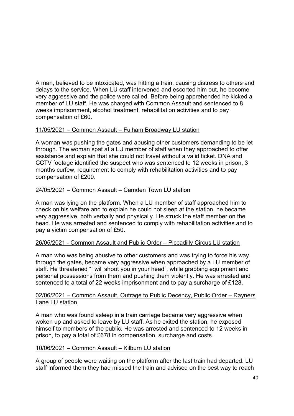A man, believed to be intoxicated, was hitting a train, causing distress to others and delays to the service. When LU staff intervened and escorted him out, he become very aggressive and the police were called. Before being apprehended he kicked a member of LU staff. He was charged with Common Assault and sentenced to 8 weeks imprisonment, alcohol treatment, rehabilitation activities and to pay compensation of £60.

## 11/05/2021 – Common Assault – Fulham Broadway LU station

A woman was pushing the gates and abusing other customers demanding to be let through. The woman spat at a LU member of staff when they approached to offer assistance and explain that she could not travel without a valid ticket. DNA and CCTV footage identified the suspect who was sentenced to 12 weeks in prison, 3 months curfew, requirement to comply with rehabilitation activities and to pay compensation of £200.

## 24/05/2021 – Common Assault – Camden Town LU station

A man was lying on the platform. When a LU member of staff approached him to check on his welfare and to explain he could not sleep at the station, he became very aggressive, both verbally and physically. He struck the staff member on the head. He was arrested and sentenced to comply with rehabilitation activities and to pay a victim compensation of £50.

## 26/05/2021 - Common Assault and Public Order – Piccadilly Circus LU station

A man who was being abusive to other customers and was trying to force his way through the gates, became very aggressive when approached by a LU member of staff. He threatened "I will shoot you in your head", while grabbing equipment and personal possessions from them and pushing them violently. He was arrested and sentenced to a total of 22 weeks imprisonment and to pay a surcharge of £128.

#### 02/06/2021 – Common Assault, Outrage to Public Decency, Public Order – Rayners Lane LU station

A man who was found asleep in a train carriage became very aggressive when woken up and asked to leave by LU staff. As he exited the station, he exposed himself to members of the public. He was arrested and sentenced to 12 weeks in prison, to pay a total of £678 in compensation, surcharge and costs.

#### 10/06/2021 – Common Assault – Kilburn LU station

A group of people were waiting on the platform after the last train had departed. LU staff informed them they had missed the train and advised on the best way to reach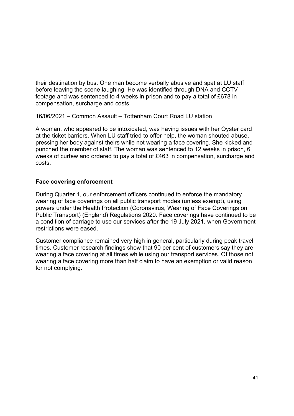their destination by bus. One man become verbally abusive and spat at LU staff before leaving the scene laughing. He was identified through DNA and CCTV footage and was sentenced to 4 weeks in prison and to pay a total of £678 in compensation, surcharge and costs.

#### 16/06/2021 – Common Assault – Tottenham Court Road LU station

A woman, who appeared to be intoxicated, was having issues with her Oyster card at the ticket barriers. When LU staff tried to offer help, the woman shouted abuse, pressing her body against theirs while not wearing a face covering. She kicked and punched the member of staff. The woman was sentenced to 12 weeks in prison, 6 weeks of curfew and ordered to pay a total of £463 in compensation, surcharge and costs.

#### <span id="page-40-0"></span>**Face covering enforcement**

During Quarter 1, our enforcement officers continued to enforce the mandatory wearing of face coverings on all public transport modes (unless exempt), using powers under the Health Protection (Coronavirus, Wearing of Face Coverings on Public Transport) (England) Regulations 2020. Face coverings have continued to be a condition of carriage to use our services after the 19 July 2021, when Government restrictions were eased.

Customer compliance remained very high in general, particularly during peak travel times. Customer research findings show that 90 per cent of customers say they are wearing a face covering at all times while using our transport services. Of those not wearing a face covering more than half claim to have an exemption or valid reason for not complying.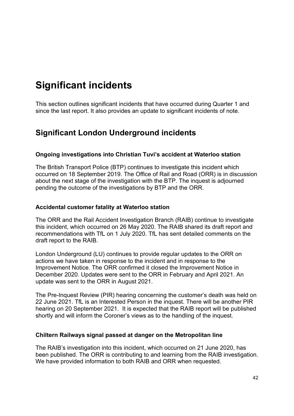# <span id="page-41-0"></span>**Significant incidents**

This section outlines significant incidents that have occurred during Quarter 1 and since the last report. It also provides an update to significant incidents of note.

# <span id="page-41-1"></span>**Significant London Underground incidents**

#### <span id="page-41-2"></span>**Ongoing investigations into Christian Tuvi's accident at Waterloo station**

The British Transport Police (BTP) continues to investigate this incident which occurred on 18 September 2019. The Office of Rail and Road (ORR) is in discussion about the next stage of the investigation with the BTP. The inquest is adjourned pending the outcome of the investigations by BTP and the ORR.

#### <span id="page-41-3"></span>**Accidental customer fatality at Waterloo station**

The ORR and the Rail Accident Investigation Branch (RAIB) continue to investigate this incident, which occurred on 26 May 2020. The RAIB shared its draft report and recommendations with TfL on 1 July 2020. TfL has sent detailed comments on the draft report to the RAIB.

London Underground (LU) continues to provide regular updates to the ORR on actions we have taken in response to the incident and in response to the Improvement Notice. The ORR confirmed it closed the Improvement Notice in December 2020. Updates were sent to the ORR in February and April 2021. An update was sent to the ORR in August 2021.

The Pre-Inquest Review (PIR) hearing concerning the customer's death was held on 22 June 2021. TfL is an Interested Person in the inquest. There will be another PIR hearing on 20 September 2021. It is expected that the RAIB report will be published shortly and will inform the Coroner's views as to the handling of the inquest.

#### <span id="page-41-4"></span>**Chiltern Railways signal passed at danger on the Metropolitan line**

The RAIB's investigation into this incident, which occurred on 21 June 2020, has been published. The ORR is contributing to and learning from the RAIB investigation. We have provided information to both RAIB and ORR when requested.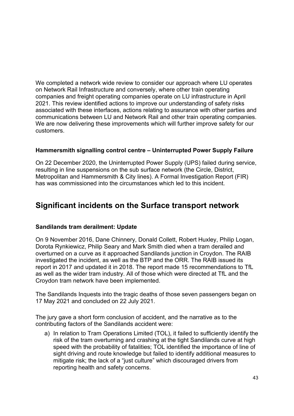We completed a network wide review to consider our approach where LU operates on Network Rail Infrastructure and conversely, where other train operating companies and freight operating companies operate on LU infrastructure in April 2021. This review identified actions to improve our understanding of safety risks associated with these interfaces, actions relating to assurance with other parties and communications between LU and Network Rail and other train operating companies. We are now delivering these improvements which will further improve safety for our customers.

#### <span id="page-42-0"></span>**Hammersmith signalling control centre – Uninterrupted Power Supply Failure**

On 22 December 2020, the Uninterrupted Power Supply (UPS) failed during service, resulting in line suspensions on the sub surface network (the Circle, District, Metropolitan and Hammersmith & City lines). A Formal Investigation Report (FIR) has was commissioned into the circumstances which led to this incident.

# <span id="page-42-1"></span>**Significant incidents on the Surface transport network**

## <span id="page-42-2"></span>**Sandilands tram derailment: Update**

On 9 November 2016, Dane Chinnery, Donald Collett, Robert Huxley, Philip Logan, Dorota Rynkiewicz, Philip Seary and Mark Smith died when a tram derailed and overturned on a curve as it approached Sandilands junction in Croydon. The RAIB investigated the incident, as well as the BTP and the ORR. The RAIB issued its report in 2017 and updated it in 2018. The report made 15 recommendations to TfL as well as the wider tram industry. All of those which were directed at TfL and the Croydon tram network have been implemented.

The Sandilands Inquests into the tragic deaths of those seven passengers began on 17 May 2021 and concluded on 22 July 2021.

The jury gave a short form conclusion of accident, and the narrative as to the contributing factors of the Sandilands accident were:

a) In relation to Tram Operations Limited (TOL), it failed to sufficiently identify the risk of the tram overturning and crashing at the tight Sandilands curve at high speed with the probability of fatalities; TOL identified the importance of line of sight driving and route knowledge but failed to identify additional measures to mitigate risk; the lack of a "just culture" which discouraged drivers from reporting health and safety concerns.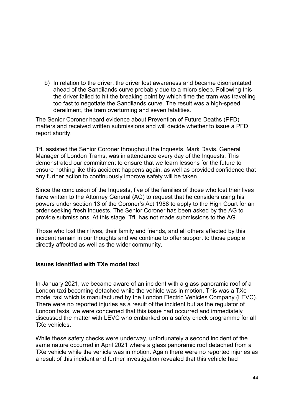b) In relation to the driver, the driver lost awareness and became disorientated ahead of the Sandilands curve probably due to a micro sleep. Following this the driver failed to hit the breaking point by which time the tram was travelling too fast to negotiate the Sandilands curve. The result was a high-speed derailment, the tram overturning and seven fatalities.

The Senior Coroner heard evidence about Prevention of Future Deaths (PFD) matters and received written submissions and will decide whether to issue a PFD report shortly.

TfL assisted the Senior Coroner throughout the Inquests. Mark Davis, General Manager of London Trams, was in attendance every day of the Inquests. This demonstrated our commitment to ensure that we learn lessons for the future to ensure nothing like this accident happens again, as well as provided confidence that any further action to continuously improve safety will be taken.

Since the conclusion of the Inquests, five of the families of those who lost their lives have written to the Attorney General (AG) to request that he considers using his powers under section 13 of the Coroner's Act 1988 to apply to the High Court for an order seeking fresh inquests. The Senior Coroner has been asked by the AG to provide submissions. At this stage, TfL has not made submissions to the AG.

Those who lost their lives, their family and friends, and all others affected by this incident remain in our thoughts and we continue to offer support to those people directly affected as well as the wider community.

#### <span id="page-43-0"></span>**Issues identified with TXe model taxi**

In January 2021, we became aware of an incident with a glass panoramic roof of a London taxi becoming detached while the vehicle was in motion. This was a TXe model taxi which is manufactured by the London Electric Vehicles Company (LEVC). There were no reported injuries as a result of the incident but as the regulator of London taxis, we were concerned that this issue had occurred and immediately discussed the matter with LEVC who embarked on a safety check programme for all TXe vehicles.

While these safety checks were underway, unfortunately a second incident of the same nature occurred in April 2021 where a glass panoramic roof detached from a TXe vehicle while the vehicle was in motion. Again there were no reported injuries as a result of this incident and further investigation revealed that this vehicle had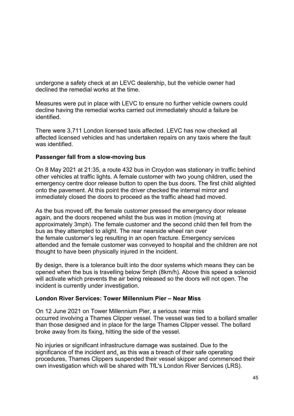undergone a safety check at an LEVC dealership, but the vehicle owner had declined the remedial works at the time.

Measures were put in place with LEVC to ensure no further vehicle owners could decline having the remedial works carried out immediately should a failure be identified.

There were 3,711 London licensed taxis affected. LEVC has now checked all affected licensed vehicles and has undertaken repairs on any taxis where the fault was identified.

#### <span id="page-44-0"></span>**Passenger fall from a slow-moving bus**

On 8 May 2021 at 21:35, a route 432 bus in Croydon was stationary in traffic behind other vehicles at traffic lights. A female customer with two young children, used the emergency centre door release button to open the bus doors. The first child alighted onto the pavement. At this point the driver checked the internal mirror and immediately closed the doors to proceed as the traffic ahead had moved.

As the bus moved off, the female customer pressed the emergency door release again, and the doors reopened whilst the bus was in motion (moving at approximately 3mph). The female customer and the second child then fell from the bus as they attempted to alight. The rear nearside wheel ran over the female customer's leg resulting in an open fracture. Emergency services attended and the female customer was conveyed to hospital and the children are not thought to have been physically injured in the incident.

By design, there is a tolerance built into the door systems which means they can be opened when the bus is travelling below 5mph (8km/h). Above this speed a solenoid will activate which prevents the air being released so the doors will not open. The incident is currently under investigation.

#### <span id="page-44-1"></span>**London River Services: Tower Millennium Pier – Near Miss**

On 12 June 2021 on Tower Millennium Pier, a serious near miss occurred involving a Thames Clipper vessel. The vessel was tied to a bollard smaller than those designed and in place for the large Thames Clipper vessel. The bollard broke away from its fixing, hitting the side of the vessel.

No injuries or significant infrastructure damage was sustained. Due to the significance of the incident and, as this was a breach of their safe operating procedures, Thames Clippers suspended their vessel skipper and commenced their own investigation which will be shared with TfL's London River Services (LRS).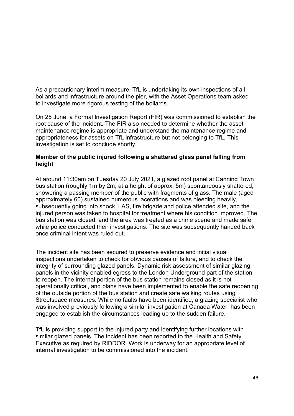As a precautionary interim measure, TfL is undertaking its own inspections of all bollards and infrastructure around the pier, with the Asset Operations team asked to investigate more rigorous testing of the bollards.

On 25 June, a Formal Investigation Report (FIR) was commissioned to establish the root cause of the incident. The FIR also needed to determine whether the asset maintenance regime is appropriate and understand the maintenance regime and appropriateness for assets on TfL infrastructure but not belonging to TfL. This investigation is set to conclude shortly.

### <span id="page-45-0"></span>**Member of the public injured following a shattered glass panel falling from height**

At around 11:30am on Tuesday 20 July 2021, a glazed roof panel at Canning Town bus station (roughly 1m by 2m, at a height of approx. 5m) spontaneously shattered, showering a passing member of the public with fragments of glass. The male (aged approximately 60) sustained numerous lacerations and was bleeding heavily, subsequently going into shock. LAS, fire brigade and police attended site, and the injured person was taken to hospital for treatment where his condition improved. The bus station was closed, and the area was treated as a crime scene and made safe while police conducted their investigations. The site was subsequently handed back once criminal intent was ruled out.

The incident site has been secured to preserve evidence and initial visual inspections undertaken to check for obvious causes of failure, and to check the integrity of surrounding glazed panels. Dynamic risk assessment of similar glazing panels in the vicinity enabled egress to the London Underground part of the station to reopen. The internal portion of the bus station remains closed as it is not operationally critical, and plans have been implemented to enable the safe reopening of the outside portion of the bus station and create safe walking routes using Streetspace measures. While no faults have been identified, a glazing specialist who was involved previously following a similar investigation at Canada Water, has been engaged to establish the circumstances leading up to the sudden failure.

TfL is providing support to the injured party and identifying further locations with similar glazed panels. The incident has been reported to the Health and Safety Executive as required by RIDDOR. Work is underway for an appropriate level of internal investigation to be commissioned into the incident.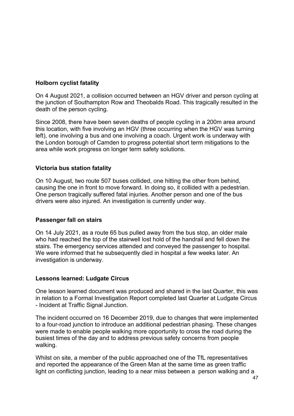## <span id="page-46-0"></span>**Holborn cyclist fatality**

On 4 August 2021, a collision occurred between an HGV driver and person cycling at the junction of Southampton Row and Theobalds Road. This tragically resulted in the death of the person cycling.

Since 2008, there have been seven deaths of people cycling in a 200m area around this location, with five involving an HGV (three occurring when the HGV was turning left), one involving a bus and one involving a coach. Urgent work is underway with the London borough of Camden to progress potential short term mitigations to the area while work progress on longer term safety solutions.

#### <span id="page-46-1"></span>**Victoria bus station fatality**

On 10 August, two route 507 buses collided, one hitting the other from behind, causing the one in front to move forward. In doing so, it collided with a pedestrian. One person tragically suffered fatal injuries. Another person and one of the bus drivers were also injured. An investigation is currently under way.

#### <span id="page-46-2"></span>**Passenger fall on stairs**

On 14 July 2021, as a route 65 bus pulled away from the bus stop, an older male who had reached the top of the stairwell lost hold of the handrail and fell down the stairs. The emergency services attended and conveyed the passenger to hospital. We were informed that he subsequently died in hospital a few weeks later. An investigation is underway.

#### <span id="page-46-3"></span>**Lessons learned: Ludgate Circus**

One lesson learned document was produced and shared in the last Quarter, this was in relation to a Formal Investigation Report completed last Quarter at Ludgate Circus - Incident at Traffic Signal Junction.

The incident occurred on 16 December 2019, due to changes that were implemented to a four-road junction to introduce an additional pedestrian phasing. These changes were made to enable people walking more opportunity to cross the road during the busiest times of the day and to address previous safety concerns from people walking.

Whilst on site, a member of the public approached one of the TfL representatives and reported the appearance of the Green Man at the same time as green traffic light on conflicting junction, leading to a near miss between a person walking and a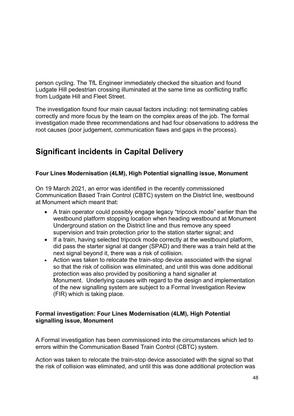person cycling. The TfL Engineer immediately checked the situation and found Ludgate Hill pedestrian crossing illuminated at the same time as conflicting traffic from Ludgate Hill and Fleet Street.

The investigation found four main causal factors including: not terminating cables correctly and more focus by the team on the complex areas of the job. The formal investigation made three recommendations and had four observations to address the root causes (poor judgement, communication flaws and gaps in the process).

# <span id="page-47-0"></span>**Significant incidents in Capital Delivery**

# <span id="page-47-1"></span>**Four Lines Modernisation (4LM), High Potential signalling issue, Monument**

On 19 March 2021, an error was identified in the recently commissioned Communication Based Train Control (CBTC) system on the District line, westbound at Monument which meant that:

- A train operator could possibly engage legacy "tripcock mode" earlier than the westbound platform stopping location when heading westbound at Monument Underground station on the District line and thus remove any speed supervision and train protection prior to the station starter signal; and
- If a train, having selected tripcock mode correctly at the westbound platform, did pass the starter signal at danger (SPAD) and there was a train held at the next signal beyond it, there was a risk of collision.
- Action was taken to relocate the train-stop device associated with the signal so that the risk of collision was eliminated, and until this was done additional protection was also provided by positioning a hand signaller at Monument. Underlying causes with regard to the design and implementation of the new signalling system are subject to a Formal Investigation Review (FIR) which is taking place.

# **Formal investigation: Four Lines Modernisation (4LM), High Potential signalling issue, Monument**

A Formal investigation has been commissioned into the circumstances which led to errors within the Communication Based Train Control (CBTC) system.

Action was taken to relocate the train-stop device associated with the signal so that the risk of collision was eliminated, and until this was done additional protection was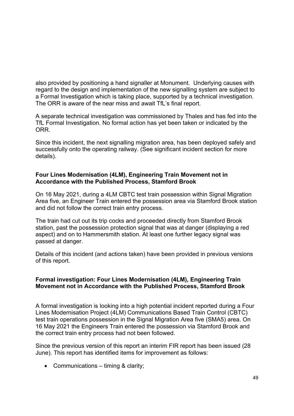also provided by positioning a hand signaller at Monument. Underlying causes with regard to the design and implementation of the new signalling system are subject to a Formal Investigation which is taking place, supported by a technical investigation. The ORR is aware of the near miss and await TfL's final report.

A separate technical investigation was commissioned by Thales and has fed into the TfL Formal Investigation. No formal action has yet been taken or indicated by the ORR.

Since this incident, the next signalling migration area, has been deployed safely and successfully onto the operating railway. (See significant incident section for more details).

### <span id="page-48-0"></span>**Four Lines Modernisation (4LM), Engineering Train Movement not in Accordance with the Published Process, Stamford Brook**

On 16 May 2021, during a 4LM CBTC test train possession within Signal Migration Area five, an Engineer Train entered the possession area via Stamford Brook station and did not follow the correct train entry process.

The train had cut out its trip cocks and proceeded directly from Stamford Brook station, past the possession protection signal that was at danger (displaying a red aspect) and on to Hammersmith station. At least one further legacy signal was passed at danger.

Details of this incident (and actions taken) have been provided in previous versions of this report.

#### **Formal investigation: Four Lines Modernisation (4LM), Engineering Train Movement not in Accordance with the Published Process, Stamford Brook**

A formal investigation is looking into a high potential incident reported during a Four Lines Modernisation Project (4LM) Communications Based Train Control (CBTC) test train operations possession in the Signal Migration Area five (SMA5) area. On 16 May 2021 the Engineers Train entered the possession via Stamford Brook and the correct train entry process had not been followed.

Since the previous version of this report an interim FIR report has been issued (28 June). This report has identified items for improvement as follows:

• Communications – timing & clarity;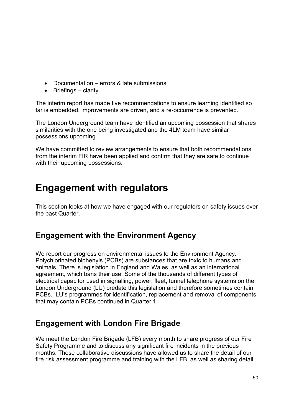- Documentation errors & late submissions;
- Briefings clarity.

The interim report has made five recommendations to ensure learning identified so far is embedded, improvements are driven, and a re-occurrence is prevented.

The London Underground team have identified an upcoming possession that shares similarities with the one being investigated and the 4LM team have similar possessions upcoming.

We have committed to review arrangements to ensure that both recommendations from the interim FIR have been applied and confirm that they are safe to continue with their upcoming possessions.

# <span id="page-49-0"></span>**Engagement with regulators**

This section looks at how we have engaged with our regulators on safety issues over the past Quarter.

# <span id="page-49-1"></span>**Engagement with the Environment Agency**

We report our progress on environmental issues to the Environment Agency. Polychlorinated biphenyls (PCBs) are substances that are toxic to humans and animals. There is legislation in England and Wales, as well as an international agreement, which bans their use. Some of the thousands of different types of electrical capacitor used in signalling, power, fleet, tunnel telephone systems on the London Underground (LU) predate this legislation and therefore sometimes contain PCBs. LU's programmes for identification, replacement and removal of components that may contain PCBs continued in Quarter 1.

# <span id="page-49-2"></span>**Engagement with London Fire Brigade**

We meet the London Fire Brigade (LFB) every month to share progress of our Fire Safety Programme and to discuss any significant fire incidents in the previous months. These collaborative discussions have allowed us to share the detail of our fire risk assessment programme and training with the LFB, as well as sharing detail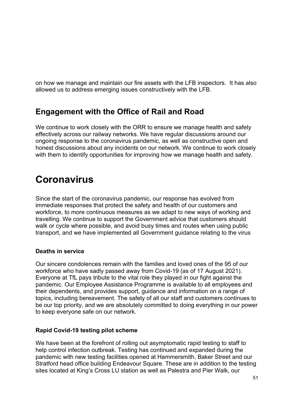on how we manage and maintain our fire assets with the LFB inspectors. It has also allowed us to address emerging issues constructively with the LFB.

# <span id="page-50-0"></span>**Engagement with the Office of Rail and Road**

We continue to work closely with the ORR to ensure we manage health and safety effectively across our railway networks. We have regular discussions around our ongoing response to the coronavirus pandemic, as well as constructive open and honest discussions about any incidents on our network. We continue to work closely with them to identify opportunities for improving how we manage health and safety.

# <span id="page-50-1"></span>**Coronavirus**

Since the start of the coronavirus pandemic, our response has evolved from immediate responses that protect the safety and health of our customers and workforce, to more continuous measures as we adapt to new ways of working and travelling. We continue to support the Government advice that customers should walk or cycle where possible, and avoid busy times and routes when using public transport, and we have implemented all Government guidance relating to the virus

## <span id="page-50-2"></span>**Deaths in service**

Our sincere condolences remain with the families and loved ones of the 95 of our workforce who have sadly passed away from Covid-19 (as of 17 August 2021). Everyone at TfL pays tribute to the vital role they played in our fight against the pandemic. Our Employee Assistance Programme is available to all employees and their dependents, and provides support, guidance and information on a range of topics, including bereavement. The safety of all our staff and customers continues to be our top priority, and we are absolutely committed to doing everything in our power to keep everyone safe on our network.

## <span id="page-50-3"></span>**Rapid Covid-19 testing pilot scheme**

We have been at the forefront of rolling out asymptomatic rapid testing to staff to help control infection outbreak. Testing has continued and expanded during the pandemic with new testing facilities opened at Hammersmith, Baker Street and our Stratford head office building Endeavour Square. These are in addition to the testing sites located at King's Cross LU station as well as Palestra and Pier Walk, our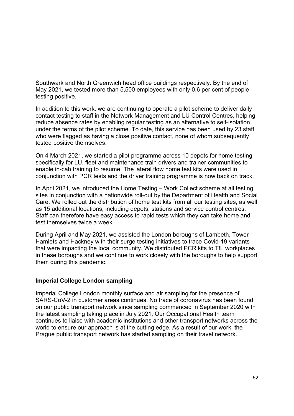Southwark and North Greenwich head office buildings respectively. By the end of May 2021, we tested more than 5,500 employees with only 0.6 per cent of people testing positive.

In addition to this work, we are continuing to operate a pilot scheme to deliver daily contact testing to staff in the Network Management and LU Control Centres, helping reduce absence rates by enabling regular testing as an alternative to self-isolation, under the terms of the pilot scheme. To date, this service has been used by 23 staff who were flagged as having a close positive contact, none of whom subsequently tested positive themselves.

On 4 March 2021, we started a pilot programme across 10 depots for home testing specifically for LU, fleet and maintenance train drivers and trainer communities to enable in-cab training to resume. The lateral flow home test kits were used in conjunction with PCR tests and the driver training programme is now back on track.

In April 2021, we introduced the Home Testing – Work Collect scheme at all testing sites in conjunction with a nationwide roll-out by the Department of Health and Social Care. We rolled out the distribution of home test kits from all our testing sites, as well as 15 additional locations, including depots, stations and service control centres. Staff can therefore have easy access to rapid tests which they can take home and test themselves twice a week.

During April and May 2021, we assisted the London boroughs of Lambeth, Tower Hamlets and Hackney with their surge testing initiatives to trace Covid-19 variants that were impacting the local community. We distributed PCR kits to TfL workplaces in these boroughs and we continue to work closely with the boroughs to help support them during this pandemic.

#### <span id="page-51-0"></span>**Imperial College London sampling**

Imperial College London monthly surface and air sampling for the presence of SARS-CoV-2 in customer areas continues. No trace of coronavirus has been found on our public transport network since sampling commenced in September 2020 with the latest sampling taking place in July 2021. Our Occupational Health team continues to liaise with academic institutions and other transport networks across the world to ensure our approach is at the cutting edge. As a result of our work, the Prague public transport network has started sampling on their travel network.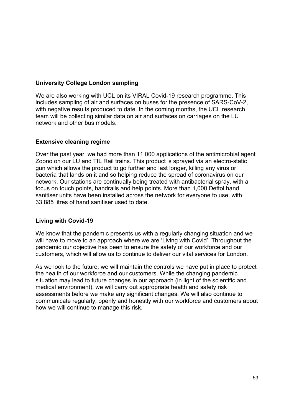## <span id="page-52-0"></span>**University College London sampling**

We are also working with UCL on its VIRAL Covid-19 research programme. This includes sampling of air and surfaces on buses for the presence of SARS-CoV-2, with negative results produced to date. In the coming months, the UCL research team will be collecting similar data on air and surfaces on carriages on the LU network and other bus models.

#### <span id="page-52-1"></span>**Extensive cleaning regime**

Over the past year, we had more than 11,000 applications of the antimicrobial agent Zoono on our LU and TfL Rail trains. This product is sprayed via an electro-static gun which allows the product to go further and last longer, killing any virus or bacteria that lands on it and so helping reduce the spread of coronavirus on our network. Our stations are continually being treated with antibacterial spray, with a focus on touch points, handrails and help points. More than 1,000 Dettol hand sanitiser units have been installed across the network for everyone to use, with 33,885 litres of hand sanitiser used to date.

## <span id="page-52-2"></span>**Living with Covid-19**

We know that the pandemic presents us with a regularly changing situation and we will have to move to an approach where we are 'Living with Covid'. Throughout the pandemic our objective has been to ensure the safety of our workforce and our customers, which will allow us to continue to deliver our vital services for London.

As we look to the future, we will maintain the controls we have put in place to protect the health of our workforce and our customers. While the changing pandemic situation may lead to future changes in our approach (in light of the scientific and medical environment), we will carry out appropriate health and safety risk assessments before we make any significant changes. We will also continue to communicate regularly, openly and honestly with our workforce and customers about how we will continue to manage this risk.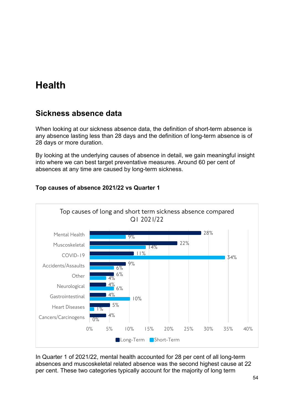# <span id="page-53-0"></span>**Health**

# <span id="page-53-1"></span>**Sickness absence data**

When looking at our sickness absence data, the definition of short-term absence is any absence lasting less than 28 days and the definition of long-term absence is of 28 days or more duration.

By looking at the underlying causes of absence in detail, we gain meaningful insight into where we can best target preventative measures. Around 60 per cent of absences at any time are caused by long-term sickness.



# **Top causes of absence 2021/22 vs Quarter 1**

In Quarter 1 of 2021/22, mental health accounted for 28 per cent of all long-term absences and muscoskeletal related absence was the second highest cause at 22 per cent. These two categories typically account for the majority of long term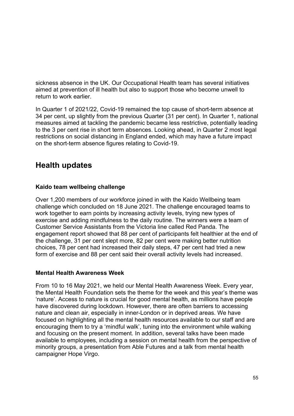sickness absence in the UK. Our Occupational Health team has several initiatives aimed at prevention of ill health but also to support those who become unwell to return to work earlier.

In Quarter 1 of 2021/22, Covid-19 remained the top cause of short-term absence at 34 per cent, up slightly from the previous Quarter (31 per cent). In Quarter 1, national measures aimed at tackling the pandemic became less restrictive, potentially leading to the 3 per cent rise in short term absences. Looking ahead, in Quarter 2 most legal restrictions on social distancing in England ended, which may have a future impact on the short-term absence figures relating to Covid-19.

# <span id="page-54-0"></span>**Health updates**

## <span id="page-54-1"></span>**Kaido team wellbeing challenge**

Over 1,200 members of our workforce joined in with the Kaido Wellbeing team challenge which concluded on 18 June 2021. The challenge encouraged teams to work together to earn points by increasing activity levels, trying new types of exercise and adding mindfulness to the daily routine. The winners were a team of Customer Service Assistants from the Victoria line called Red Panda. The engagement report showed that 88 per cent of participants felt healthier at the end of the challenge, 31 per cent slept more, 82 per cent were making better nutrition choices, 78 per cent had increased their daily steps, 47 per cent had tried a new form of exercise and 88 per cent said their overall activity levels had increased.

## <span id="page-54-2"></span>**Mental Health Awareness Week**

From 10 to 16 May 2021, we held our Mental Health Awareness Week. Every year, the Mental Health Foundation sets the theme for the week and this year's theme was 'nature'. Access to nature is crucial for good mental health, as millions have people have discovered during lockdown. However, there are often barriers to accessing nature and clean air, especially in inner-London or in deprived areas. We have focused on highlighting all the mental health resources available to our staff and are encouraging them to try a 'mindful walk', tuning into the environment while walking and focusing on the present moment. In addition, several talks have been made available to employees, including a session on mental health from the perspective of minority groups, a presentation from Able Futures and a talk from mental health campaigner Hope Virgo.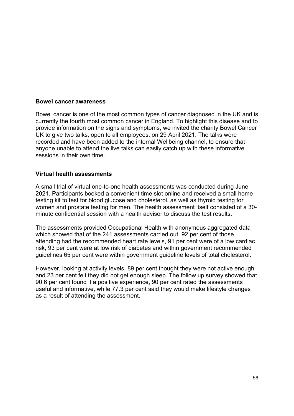#### <span id="page-55-0"></span>**Bowel cancer awareness**

Bowel cancer is one of the most common types of cancer diagnosed in the UK and is currently the fourth most common cancer in England. To highlight this disease and to provide information on the signs and symptoms, we invited the charity Bowel Cancer UK to give two talks, open to all employees, on 29 April 2021. The talks were recorded and have been added to the internal Wellbeing channel, to ensure that anyone unable to attend the live talks can easily catch up with these informative sessions in their own time.

#### <span id="page-55-1"></span>**Virtual health assessments**

A small trial of virtual one-to-one health assessments was conducted during June 2021. Participants booked a convenient time slot online and received a small home testing kit to test for blood glucose and cholesterol, as well as thyroid testing for women and prostate testing for men. The health assessment itself consisted of a 30 minute confidential session with a health advisor to discuss the test results.

The assessments provided Occupational Health with anonymous aggregated data which showed that of the 241 assessments carried out, 92 per cent of those attending had the recommended heart rate levels, 91 per cent were of a low cardiac risk, 93 per cent were at low risk of diabetes and within government recommended guidelines 65 per cent were within government guideline levels of total cholesterol.

However, looking at activity levels, 89 per cent thought they were not active enough and 23 per cent felt they did not get enough sleep. The follow up survey showed that 90.6 per cent found it a positive experience, 90 per cent rated the assessments useful and informative, while 77.3 per cent said they would make lifestyle changes as a result of attending the assessment.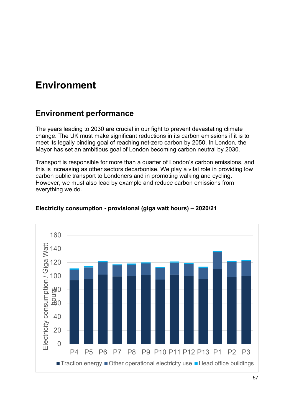# <span id="page-56-0"></span>**Environment**

# <span id="page-56-1"></span>**Environment performance**

The years leading to 2030 are crucial in our fight to prevent devastating climate change. The UK must make significant reductions in its carbon emissions if it is to meet its legally binding goal of reaching net-zero carbon by 2050. In London, the Mayor has set an ambitious goal of London becoming carbon neutral by 2030.

Transport is responsible for more than a quarter of London's carbon emissions, and this is increasing as other sectors decarbonise. We play a vital role in providing low carbon public transport to Londoners and in promoting walking and cycling. However, we must also lead by example and reduce carbon emissions from everything we do.



## **Electricity consumption - provisional (giga watt hours) – 2020/21**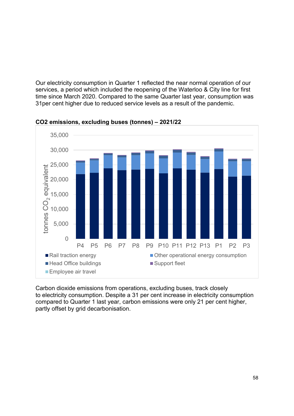Our electricity consumption in Quarter 1 reflected the near normal operation of our services, a period which included the reopening of the Waterloo & City line for first time since March 2020. Compared to the same Quarter last year, consumption was 31per cent higher due to reduced service levels as a result of the pandemic.



**CO2 emissions, excluding buses (tonnes) – 2021/22**

Carbon dioxide emissions from operations, excluding buses, track closely to electricity consumption. Despite a 31 per cent increase in electricity consumption compared to Quarter 1 last year, carbon emissions were only 21 per cent higher, partly offset by grid decarbonisation.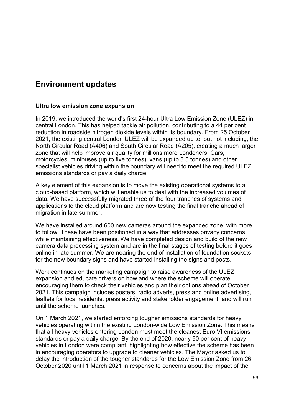# <span id="page-58-0"></span>**Environment updates**

#### <span id="page-58-1"></span>**Ultra low emission zone expansion**

In 2019, we introduced the world's first 24-hour Ultra Low Emission Zone (ULEZ) in central London. This has helped tackle air pollution, contributing to a 44 per cent reduction in roadside nitrogen dioxide levels within its boundary. From 25 October 2021, the existing central London ULEZ will be expanded up to, but not including, the North Circular Road (A406) and South Circular Road (A205), creating a much larger zone that will help improve air quality for millions more Londoners. Cars, motorcycles, minibuses (up to five tonnes), vans (up to 3.5 tonnes) and other specialist vehicles driving within the boundary will need to meet the required ULEZ emissions standards or pay a daily charge.

A key element of this expansion is to move the existing operational systems to a cloud-based platform, which will enable us to deal with the increased volumes of data. We have successfully migrated three of the four tranches of systems and applications to the cloud platform and are now testing the final tranche ahead of migration in late summer.

We have installed around 600 new cameras around the expanded zone, with more to follow. These have been positioned in a way that addresses privacy concerns while maintaining effectiveness. We have completed design and build of the new camera data processing system and are in the final stages of testing before it goes online in late summer. We are nearing the end of installation of foundation sockets for the new boundary signs and have started installing the signs and posts.

Work continues on the marketing campaign to raise awareness of the ULEZ expansion and educate drivers on how and where the scheme will operate, encouraging them to check their vehicles and plan their options ahead of October 2021. This campaign includes posters, radio adverts, press and online advertising, leaflets for local residents, press activity and stakeholder engagement, and will run until the scheme launches.

On 1 March 2021, we started enforcing tougher emissions standards for heavy vehicles operating within the existing London-wide Low Emission Zone. This means that all heavy vehicles entering London must meet the cleanest Euro VI emissions standards or pay a daily charge. By the end of 2020, nearly 90 per cent of heavy vehicles in London were compliant, highlighting how effective the scheme has been in encouraging operators to upgrade to cleaner vehicles. The Mayor asked us to delay the introduction of the tougher standards for the Low Emission Zone from 26 October 2020 until 1 March 2021 in response to concerns about the impact of the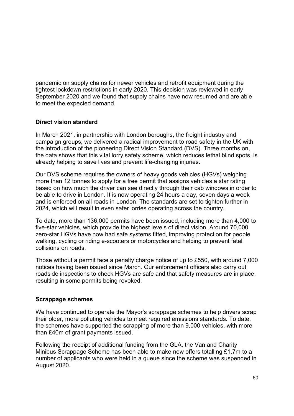pandemic on supply chains for newer vehicles and retrofit equipment during the tightest lockdown restrictions in early 2020. This decision was reviewed in early September 2020 and we found that supply chains have now resumed and are able to meet the expected demand.

## <span id="page-59-0"></span>**Direct vision standard**

In March 2021, in partnership with London boroughs, the freight industry and campaign groups, we delivered a radical improvement to road safety in the UK with the introduction of the pioneering Direct Vision Standard (DVS). Three months on, the data shows that this vital lorry safety scheme, which reduces lethal blind spots, is already helping to save lives and prevent life-changing injuries.

Our DVS scheme requires the owners of heavy goods vehicles (HGVs) weighing more than 12 tonnes to apply for a free permit that assigns vehicles a star rating based on how much the driver can see directly through their cab windows in order to be able to drive in London. It is now operating 24 hours a day, seven days a week and is enforced on all roads in London. The standards are set to tighten further in 2024, which will result in even safer lorries operating across the country.

To date, more than 136,000 permits have been issued, including more than 4,000 to five-star vehicles, which provide the highest levels of direct vision. Around 70,000 zero-star HGVs have now had safe systems fitted, improving protection for people walking, cycling or riding e-scooters or motorcycles and helping to prevent fatal collisions on roads.

Those without a permit face a penalty charge notice of up to £550, with around 7,000 notices having been issued since March. Our enforcement officers also carry out roadside inspections to check HGVs are safe and that safety measures are in place, resulting in some permits being revoked.

## <span id="page-59-1"></span>**Scrappage schemes**

We have continued to operate the Mayor's scrappage schemes to help drivers scrap their older, more polluting vehicles to meet required emissions standards. To date, the schemes have supported the scrapping of more than 9,000 vehicles, with more than £40m of grant payments issued.

Following the receipt of additional funding from the GLA, the Van and Charity Minibus Scrappage Scheme has been able to make new offers totalling £1.7m to a number of applicants who were held in a queue since the scheme was suspended in August 2020.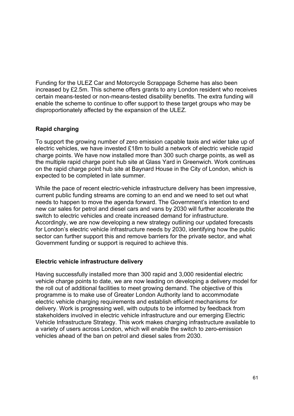Funding for the ULEZ Car and Motorcycle Scrappage Scheme has also been increased by £2.5m. This scheme offers grants to any London resident who receives certain means-tested or non-means-tested disability benefits. The extra funding will enable the scheme to continue to offer support to these target groups who may be disproportionately affected by the expansion of the ULEZ.

## <span id="page-60-0"></span>**Rapid charging**

To support the growing number of zero emission capable taxis and wider take up of electric vehicles, we have invested £18m to build a network of electric vehicle rapid charge points. We have now installed more than 300 such charge points, as well as the multiple rapid charge point hub site at Glass Yard in Greenwich. Work continues on the rapid charge point hub site at Baynard House in the City of London, which is expected to be completed in late summer.

While the pace of recent electric-vehicle infrastructure delivery has been impressive, current public funding streams are coming to an end and we need to set out what needs to happen to move the agenda forward. The Government's intention to end new car sales for petrol and diesel cars and vans by 2030 will further accelerate the switch to electric vehicles and create increased demand for infrastructure. Accordingly, we are now developing a new strategy outlining our updated forecasts for London's electric vehicle infrastructure needs by 2030, identifying how the public sector can further support this and remove barriers for the private sector, and what Government funding or support is required to achieve this.

## <span id="page-60-1"></span>**Electric vehicle infrastructure delivery**

Having successfully installed more than 300 rapid and 3,000 residential electric vehicle charge points to date, we are now leading on developing a delivery model for the roll out of additional facilities to meet growing demand. The objective of this programme is to make use of Greater London Authority land to accommodate electric vehicle charging requirements and establish efficient mechanisms for delivery. Work is progressing well, with outputs to be informed by feedback from stakeholders involved in electric vehicle infrastructure and our emerging Electric Vehicle Infrastructure Strategy. This work makes charging infrastructure available to a variety of users across London, which will enable the switch to zero-emission vehicles ahead of the ban on petrol and diesel sales from 2030.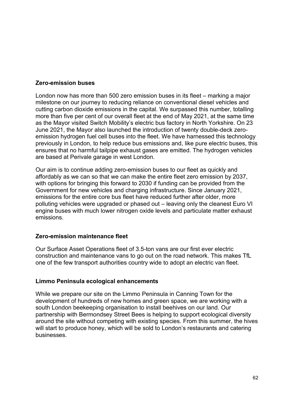### <span id="page-61-0"></span>**Zero-emission buses**

London now has more than 500 zero emission buses in its fleet – marking a major milestone on our journey to reducing reliance on conventional diesel vehicles and cutting carbon dioxide emissions in the capital. We surpassed this number, totalling more than five per cent of our overall fleet at the end of May 2021, at the same time as the Mayor visited Switch Mobility's electric bus factory in North Yorkshire. On 23 June 2021, the Mayor also launched the introduction of twenty double-deck zeroemission hydrogen fuel cell buses into the fleet. We have harnessed this technology previously in London, to help reduce bus emissions and, like pure electric buses, this ensures that no harmful tailpipe exhaust gases are emitted. The hydrogen vehicles are based at Perivale garage in west London.

Our aim is to continue adding zero-emission buses to our fleet as quickly and affordably as we can so that we can make the entire fleet zero emission by 2037, with options for bringing this forward to 2030 if funding can be provided from the Government for new vehicles and charging infrastructure. Since January 2021, emissions for the entire core bus fleet have reduced further after older, more polluting vehicles were upgraded or phased out – leaving only the cleanest Euro VI engine buses with much lower nitrogen oxide levels and particulate matter exhaust emissions.

#### <span id="page-61-1"></span>**Zero-emission maintenance fleet**

Our Surface Asset Operations fleet of 3.5-ton vans are our first ever electric construction and maintenance vans to go out on the road network. This makes TfL one of the few transport authorities country wide to adopt an electric van fleet.

#### <span id="page-61-2"></span>**Limmo Peninsula ecological enhancements**

While we prepare our site on the Limmo Peninsula in Canning Town for the development of hundreds of new homes and green space, we are working with a south London beekeeping organisation to install beehives on our land. Our partnership with Bermondsey Street Bees is helping to support ecological diversity around the site without competing with existing species. From this summer, the hives will start to produce honey, which will be sold to London's restaurants and catering businesses.